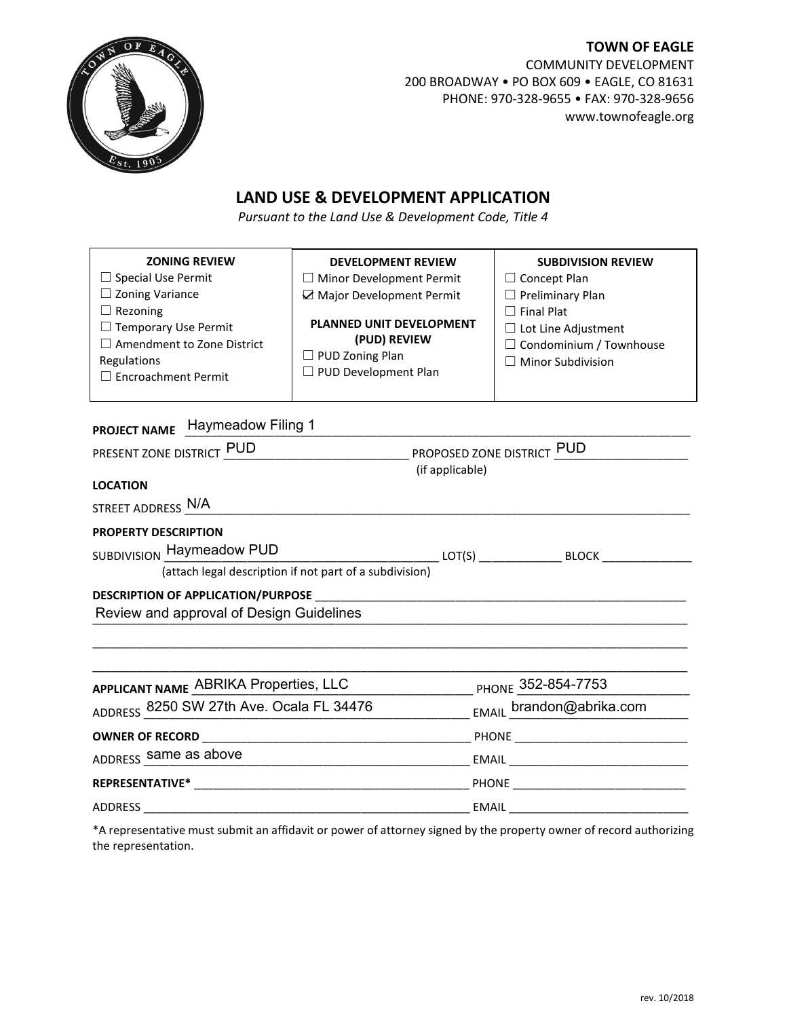

**TOWN OF EAGLE** COMMUNITY DEVELOPMENT 200 BROADWAY • PO BOX 609 • EAGLE, CO 81631 PHONE: 970-328-9655 • FAX: 970-328-9656 www.townofeagle.org

## **LAND USE & DEVELOPMENT APPLICATION**

*Pursuant to the Land Use & Development Code, Title 4*

| <b>ZONING REVIEW</b><br>$\Box$ Special Use Permit<br>$\Box$ Zoning Variance<br>$\Box$ Rezoning<br>$\Box$ Temporary Use Permit<br>$\Box$ Amendment to Zone District<br>Regulations<br>$\Box$ Encroachment Permit | <b>DEVELOPMENT REVIEW</b><br>$\Box$ Minor Development Permit<br>Major Development Permit<br><b>PLANNED UNIT DEVELOPMENT</b><br>(PUD) REVIEW<br>$\Box$ PUD Zoning Plan<br>□ PUD Development Plan | <b>SUBDIVISION REVIEW</b><br>$\Box$ Concept Plan<br>$\Box$ Preliminary Plan<br>$\Box$ Final Plat<br>$\Box$ Lot Line Adjustment<br>$\Box$ Condominium / Townhouse<br>$\Box$ Minor Subdivision |  |  |
|-----------------------------------------------------------------------------------------------------------------------------------------------------------------------------------------------------------------|-------------------------------------------------------------------------------------------------------------------------------------------------------------------------------------------------|----------------------------------------------------------------------------------------------------------------------------------------------------------------------------------------------|--|--|
| <b>PROJECT NAME</b> Haymeadow Filing 1                                                                                                                                                                          |                                                                                                                                                                                                 |                                                                                                                                                                                              |  |  |
| PRESENT ZONE DISTRICT PUD PROPOSED ZONE DISTRICT PUD                                                                                                                                                            |                                                                                                                                                                                                 |                                                                                                                                                                                              |  |  |
|                                                                                                                                                                                                                 | (if applicable)                                                                                                                                                                                 |                                                                                                                                                                                              |  |  |
| <b>LOCATION</b>                                                                                                                                                                                                 |                                                                                                                                                                                                 |                                                                                                                                                                                              |  |  |
| STREET ADDRESS N/A                                                                                                                                                                                              |                                                                                                                                                                                                 |                                                                                                                                                                                              |  |  |
| <b>PROPERTY DESCRIPTION</b>                                                                                                                                                                                     |                                                                                                                                                                                                 |                                                                                                                                                                                              |  |  |
| SUBDIVISION Haymeadow PUD                                                                                                                                                                                       |                                                                                                                                                                                                 | ______________ LOT(S) ___________________ BLOCK _____________                                                                                                                                |  |  |
| (attach legal description if not part of a subdivision)                                                                                                                                                         |                                                                                                                                                                                                 |                                                                                                                                                                                              |  |  |
|                                                                                                                                                                                                                 |                                                                                                                                                                                                 |                                                                                                                                                                                              |  |  |
| Review and approval of Design Guidelines                                                                                                                                                                        |                                                                                                                                                                                                 |                                                                                                                                                                                              |  |  |
|                                                                                                                                                                                                                 |                                                                                                                                                                                                 |                                                                                                                                                                                              |  |  |
| APPLICANT NAME ABRIKA Properties, LLC                                                                                                                                                                           |                                                                                                                                                                                                 | PHONE 352-854-7753                                                                                                                                                                           |  |  |

| APPLICANT NAME ADDITION FIDUCTIES, LLC   | PHONE JULIOUA-1100          |
|------------------------------------------|-----------------------------|
| ADDRESS 8250 SW 27th Ave. Ocala FL 34476 | EMAIL brandon@abrika.com    |
| <b>OWNER OF RECORD</b>                   | PHONE                       |
| ADDRESS same as above                    | EMAIL <b>Exercise EMAIL</b> |
| <b>REPRESENTATIVE*</b>                   | PHONE                       |
| ADDRESS                                  | EMAIL                       |

\*A representative must submit an affidavit or power of attorney signed by the property owner of record authorizing the representation.